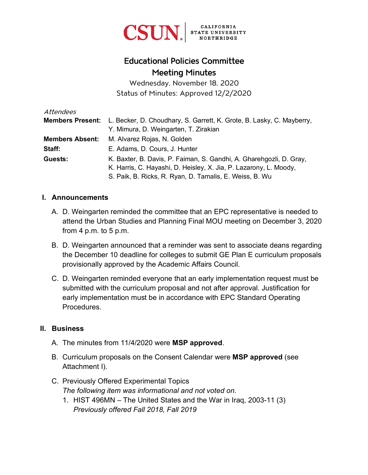

# Educational Policies Committee Meeting Minutes

Wednesday, November 18, 2020 Status of Minutes: Approved 12/2/2020

| Attendees              |                                                                                               |
|------------------------|-----------------------------------------------------------------------------------------------|
|                        | <b>Members Present:</b> L. Becker, D. Choudhary, S. Garrett, K. Grote, B. Lasky, C. Mayberry, |
|                        | Y. Mimura, D. Weingarten, T. Zirakian                                                         |
| <b>Members Absent:</b> | M. Alvarez Rojas, N. Golden                                                                   |
| Staff:                 | E. Adams, D. Cours, J. Hunter                                                                 |
| Guests:                | K. Baxter, B. Davis, P. Faiman, S. Gandhi, A. Gharehgozli, D. Gray,                           |
|                        | K. Harris, C. Hayashi, D. Heisley, X. Jia, P. Lazarony, L. Moody,                             |
|                        | S. Paik, B. Ricks, R. Ryan, D. Tamalis, E. Weiss, B. Wu                                       |

#### **I. Announcements**

- A. D. Weingarten reminded the committee that an EPC representative is needed to attend the Urban Studies and Planning Final MOU meeting on December 3, 2020 from  $4 \text{ p.m.}$  to  $5 \text{ p.m.}$
- B. D. Weingarten announced that a reminder was sent to associate deans regarding the December 10 deadline for colleges to submit GE Plan E curriculum proposals provisionally approved by the Academic Affairs Council.
- C. D. Weingarten reminded everyone that an early implementation request must be submitted with the curriculum proposal and not after approval. Justification for early implementation must be in accordance with EPC Standard Operating Procedures.

#### **II. Business**

- A. The minutes from 11/4/2020 were **MSP approved**.
- B. Curriculum proposals on the Consent Calendar were **MSP approved** (see Attachment I).
- C. Previously Offered Experimental Topics *The following item was informational and not voted on.*
	- 1. HIST 496MN The United States and the War in Iraq, 2003-11 (3) *Previously offered Fall 2018, Fall 2019*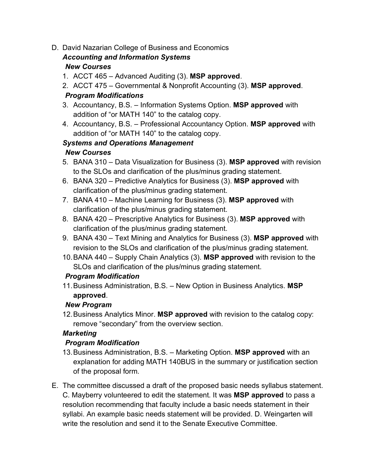D. David Nazarian College of Business and Economics

# *Accounting and Information Systems New Courses*

- 1. ACCT 465 Advanced Auditing (3). **MSP approved**.
- 2. ACCT 475 Governmental & Nonprofit Accounting (3). **MSP approved**. *Program Modifications*
- 3. Accountancy, B.S. Information Systems Option. **MSP approved** with addition of "or MATH 140" to the catalog copy.
- 4. Accountancy, B.S. Professional Accountancy Option. **MSP approved** with addition of "or MATH 140" to the catalog copy.

# *Systems and Operations Management*

### *New Courses*

- 5. BANA 310 Data Visualization for Business (3). **MSP approved** with revision to the SLOs and clarification of the plus/minus grading statement.
- 6. BANA 320 Predictive Analytics for Business (3). **MSP approved** with clarification of the plus/minus grading statement.
- 7. BANA 410 Machine Learning for Business (3). **MSP approved** with clarification of the plus/minus grading statement.
- 8. BANA 420 Prescriptive Analytics for Business (3). **MSP approved** with clarification of the plus/minus grading statement.
- 9. BANA 430 Text Mining and Analytics for Business (3). **MSP approved** with revision to the SLOs and clarification of the plus/minus grading statement.
- 10.BANA 440 Supply Chain Analytics (3). **MSP approved** with revision to the SLOs and clarification of the plus/minus grading statement.

# *Program Modification*

11. Business Administration, B.S. – New Option in Business Analytics. **MSP approved**.

# *New Program*

12. Business Analytics Minor. **MSP approved** with revision to the catalog copy: remove "secondary" from the overview section.

# *Marketing*

# *Program Modification*

- 13. Business Administration, B.S. Marketing Option. **MSP approved** with an explanation for adding MATH 140BUS in the summary or justification section of the proposal form.
- E. The committee discussed a draft of the proposed basic needs syllabus statement. C. Mayberry volunteered to edit the statement. It was **MSP approved** to pass a resolution recommending that faculty include a basic needs statement in their syllabi. An example basic needs statement will be provided. D. Weingarten will write the resolution and send it to the Senate Executive Committee.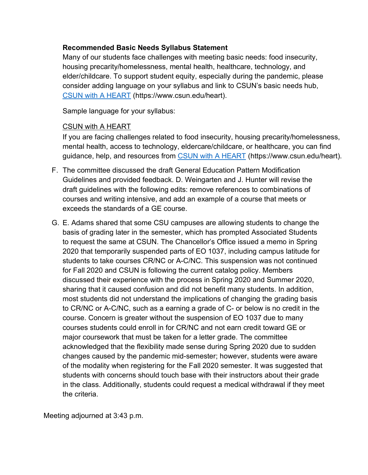### **Recommended Basic Needs Syllabus Statement**

Many of our students face challenges with meeting basic needs: food insecurity, housing precarity/homelessness, mental health, healthcare, technology, and elder/childcare. To support student equity, especially during the pandemic, please consider adding language on your syllabus and link to CSUN's basic needs hub, CSUN [with A HEART](https://www.csun.edu/heart) (https://www.csun.edu/heart).

Sample language for your syllabus:

#### CSUN with A HEART

If you are facing challenges related to food insecurity, housing precarity/homelessness, mental health, access to technology, eldercare/childcare, or healthcare, you can find guidance, help, and resources from [CSUN with A HEART](https://www.csun.edu/heart) (https://www.csun.edu/heart).

- F. The committee discussed the draft General Education Pattern Modification Guidelines and provided feedback. D. Weingarten and J. Hunter will revise the draft guidelines with the following edits: remove references to combinations of courses and writing intensive, and add an example of a course that meets or exceeds the standards of a GE course.
- G. E. Adams shared that some CSU campuses are allowing students to change the basis of grading later in the semester, which has prompted Associated Students to request the same at CSUN. The Chancellor's Office issued a memo in Spring 2020 that temporarily suspended parts of EO 1037, including campus latitude for students to take courses CR/NC or A-C/NC. This suspension was not continued for Fall 2020 and CSUN is following the current catalog policy. Members discussed their experience with the process in Spring 2020 and Summer 2020, sharing that it caused confusion and did not benefit many students. In addition, most students did not understand the implications of changing the grading basis to CR/NC or A-C/NC, such as a earning a grade of C- or below is no credit in the course. Concern is greater without the suspension of EO 1037 due to many courses students could enroll in for CR/NC and not earn credit toward GE or major coursework that must be taken for a letter grade. The committee acknowledged that the flexibility made sense during Spring 2020 due to sudden changes caused by the pandemic mid-semester; however, students were aware of the modality when registering for the Fall 2020 semester. It was suggested that students with concerns should touch base with their instructors about their grade in the class. Additionally, students could request a medical withdrawal if they meet the criteria.

Meeting adjourned at 3:43 p.m.